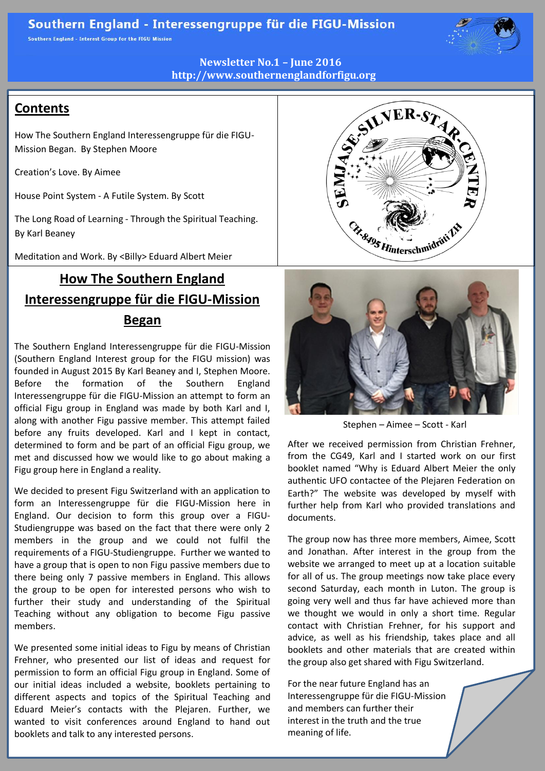Southern England - Interest Group for the FIGU Mission



**Newsletter No.1 – June 2016 http://www.southernenglandforfigu.org**

# **Contents**

How The Southern England Interessengruppe für die FIGU-Mission Began. By Stephen Moore

Creation's Love. By Aimee

House Point System - A Futile System. By Scott

The Long Road of Learning - Through the Spiritual Teaching. By Karl Beaney

Meditation and Work. By <Billy> Eduard Albert Meier

# **How The Southern England Interessengruppe für die FIGU-Mission Began**

The Southern England Interessengruppe für die FIGU-Mission (Southern England Interest group for the FIGU mission) was founded in August 2015 By Karl Beaney and I, Stephen Moore. Before the formation of the Southern England Interessengruppe für die FIGU-Mission an attempt to form an official Figu group in England was made by both Karl and I, along with another Figu passive member. This attempt failed before any fruits developed. Karl and I kept in contact, determined to form and be part of an official Figu group, we met and discussed how we would like to go about making a Figu group here in England a reality.

We decided to present Figu Switzerland with an application to form an Interessengruppe für die FIGU-Mission here in England. Our decision to form this group over a FIGU-Studiengruppe was based on the fact that there were only 2 members in the group and we could not fulfil the requirements of a FIGU-Studiengruppe. Further we wanted to have a group that is open to non Figu passive members due to there being only 7 passive members in England. This allows the group to be open for interested persons who wish to further their study and understanding of the Spiritual Teaching without any obligation to become Figu passive members.

We presented some initial ideas to Figu by means of Christian Frehner, who presented our list of ideas and request for permission to form an official Figu group in England. Some of our initial ideas included a website, booklets pertaining to different aspects and topics of the Spiritual Teaching and Eduard Meier's contacts with the Plejaren. Further, we wanted to visit conferences around England to hand out booklets and talk to any interested persons.





Stephen – Aimee – Scott - Karl

After we received permission from Christian Frehner, from the CG49, Karl and I started work on our first booklet named "Why is Eduard Albert Meier the only authentic UFO contactee of the Plejaren Federation on Earth?" The website was developed by myself with further help from Karl who provided translations and documents.

The group now has three more members, Aimee, Scott and Jonathan. After interest in the group from the website we arranged to meet up at a location suitable for all of us. The group meetings now take place every second Saturday, each month in Luton. The group is going very well and thus far have achieved more than we thought we would in only a short time. Regular contact with Christian Frehner, for his support and advice, as well as his friendship, takes place and all booklets and other materials that are created within the group also get shared with Figu Switzerland.

For the near future England has an Interessengruppe für die FIGU-Mission and members can further their interest in the truth and the true meaning of life.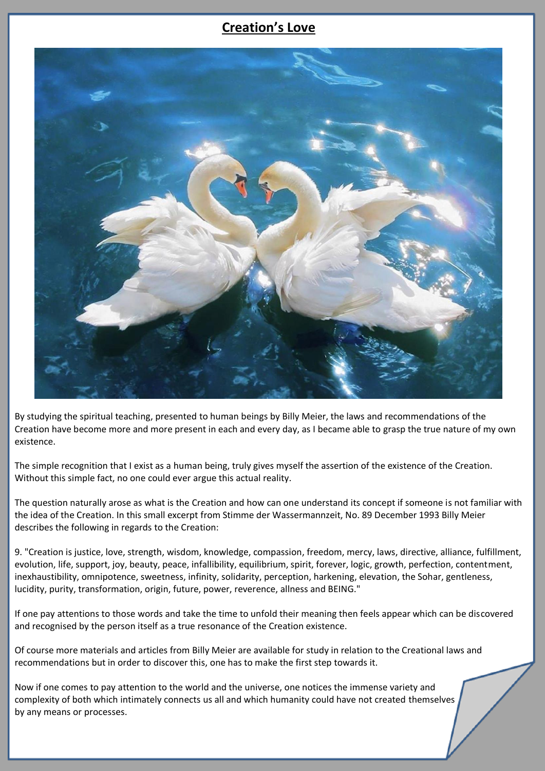# **Creation's Love**



By studying the spiritual teaching, presented to human beings by Billy Meier, the laws and recommendations of the Creation have become more and more present in each and every day, as I became able to grasp the true nature of my own existence.

The simple recognition that I exist as a human being, truly gives myself the assertion of the existence of the Creation. Without this simple fact, no one could ever argue this actual reality.

The question naturally arose as what is the Creation and how can one understand its concept if someone is not familiar with the idea of the Creation. In this small excerpt from Stimme der Wassermannzeit, No. 89 December 1993 Billy Meier describes the following in regards to the Creation:

9. "Creation is justice, love, strength, wisdom, knowledge, compassion, freedom, mercy, laws, directive, alliance, fulfillment, evolution, life, support, joy, beauty, peace, infallibility, equilibrium, spirit, forever, logic, growth, perfection, contentment, inexhaustibility, omnipotence, sweetness, infinity, solidarity, perception, harkening, elevation, the Sohar, gentleness, lucidity, purity, transformation, origin, future, power, reverence, allness and BEING."

If one pay attentions to those words and take the time to unfold their meaning then feels appear which can be discovered and recognised by the person itself as a true resonance of the Creation existence.

Of course more materials and articles from Billy Meier are available for study in relation to the Creational laws and recommendations but in order to discover this, one has to make the first step towards it.

Now if one comes to pay attention to the world and the universe, one notices the immense variety and complexity of both which intimately connects us all and which humanity could have not created themselves by any means or processes.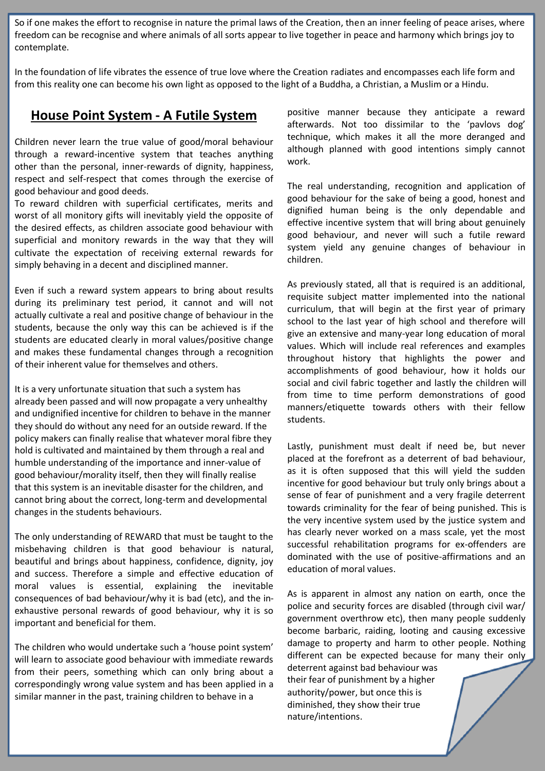So if one makes the effort to recognise in nature the primal laws of the Creation, then an inner feeling of peace arises, where freedom can be recognise and where animals of all sorts appear to live together in peace and harmony which brings joy to contemplate.

In the foundation of life vibrates the essence of true love where the Creation radiates and encompasses each life form and from this reality one can become his own light as opposed to the light of a Buddha, a Christian, a Muslim or a Hindu.

#### **House Point System - A Futile System**

Children never learn the true value of good/moral behaviour through a reward-incentive system that teaches anything other than the personal, inner-rewards of dignity, happiness, respect and self-respect that comes through the exercise of good behaviour and good deeds.

To reward children with superficial certificates, merits and worst of all monitory gifts will inevitably yield the opposite of the desired effects, as children associate good behaviour with superficial and monitory rewards in the way that they will cultivate the expectation of receiving external rewards for simply behaving in a decent and disciplined manner.

Even if such a reward system appears to bring about results during its preliminary test period, it cannot and will not actually cultivate a real and positive change of behaviour in the students, because the only way this can be achieved is if the students are educated clearly in moral values/positive change and makes these fundamental changes through a recognition of their inherent value for themselves and others.

It is a very unfortunate situation that such a system has already been passed and will now propagate a very unhealthy and undignified incentive for children to behave in the manner they should do without any need for an outside reward. If the policy makers can finally realise that whatever moral fibre they hold is cultivated and maintained by them through a real and humble understanding of the importance and inner-value of good behaviour/morality itself, then they will finally realise that this system is an inevitable disaster for the children, and cannot bring about the correct, long-term and developmental changes in the students behaviours.

The only understanding of REWARD that must be taught to the misbehaving children is that good behaviour is natural, beautiful and brings about happiness, confidence, dignity, joy and success. Therefore a simple and effective education of moral values is essential, explaining the inevitable consequences of bad behaviour/why it is bad (etc), and the inexhaustive personal rewards of good behaviour, why it is so important and beneficial for them.

The children who would undertake such a 'house point system' will learn to associate good behaviour with immediate rewards from their peers, something which can only bring about a correspondingly wrong value system and has been applied in a similar manner in the past, training children to behave in a

positive manner because they anticipate a reward afterwards. Not too dissimilar to the 'pavlovs dog' technique, which makes it all the more deranged and although planned with good intentions simply cannot work.

The real understanding, recognition and application of good behaviour for the sake of being a good, honest and dignified human being is the only dependable and effective incentive system that will bring about genuinely good behaviour, and never will such a futile reward system yield any genuine changes of behaviour in children.

As previously stated, all that is required is an additional, requisite subject matter implemented into the national curriculum, that will begin at the first year of primary school to the last year of high school and therefore will give an extensive and many-year long education of moral values. Which will include real references and examples throughout history that highlights the power and accomplishments of good behaviour, how it holds our social and civil fabric together and lastly the children will from time to time perform demonstrations of good manners/etiquette towards others with their fellow students.

Lastly, punishment must dealt if need be, but never placed at the forefront as a deterrent of bad behaviour, as it is often supposed that this will yield the sudden incentive for good behaviour but truly only brings about a sense of fear of punishment and a very fragile deterrent towards criminality for the fear of being punished. This is the very incentive system used by the justice system and has clearly never worked on a mass scale, yet the most successful rehabilitation programs for ex-offenders are dominated with the use of positive-affirmations and an education of moral values.

As is apparent in almost any nation on earth, once the police and security forces are disabled (through civil war/ government overthrow etc), then many people suddenly become barbaric, raiding, looting and causing excessive damage to property and harm to other people. Nothing different can be expected because for many their only

deterrent against bad behaviour was their fear of punishment by a higher authority/power, but once this is diminished, they show their true nature/intentions.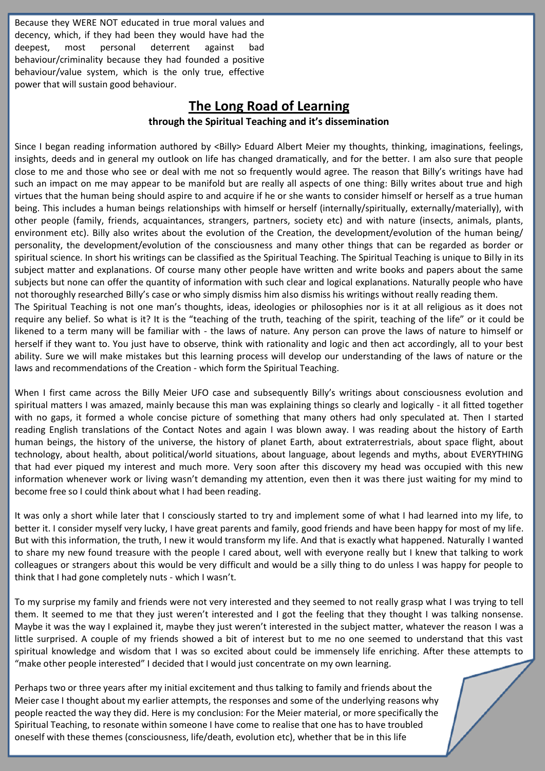Because they WERE NOT educated in true moral values and decency, which, if they had been they would have had the deepest, most personal deterrent against bad behaviour/criminality because they had founded a positive behaviour/value system, which is the only true, effective power that will sustain good behaviour.

## **The Long Road of Learning**

#### **through the Spiritual Teaching and it's dissemination**

Since I began reading information authored by <Billy> Eduard Albert Meier my thoughts, thinking, imaginations, feelings, insights, deeds and in general my outlook on life has changed dramatically, and for the better. I am also sure that people close to me and those who see or deal with me not so frequently would agree. The reason that Billy's writings have had such an impact on me may appear to be manifold but are really all aspects of one thing: Billy writes about true and high virtues that the human being should aspire to and acquire if he or she wants to consider himself or herself as a true human being. This includes a human beings relationships with himself or herself (internally/spiritually, externally/materially), with other people (family, friends, acquaintances, strangers, partners, society etc) and with nature (insects, animals, plants, environment etc). Billy also writes about the evolution of the Creation, the development/evolution of the human being/ personality, the development/evolution of the consciousness and many other things that can be regarded as border or spiritual science. In short his writings can be classified as the Spiritual Teaching. The Spiritual Teaching is unique to Billy in its subject matter and explanations. Of course many other people have written and write books and papers about the same subjects but none can offer the quantity of information with such clear and logical explanations. Naturally people who have not thoroughly researched Billy's case or who simply dismiss him also dismiss his writings without really reading them.

The Spiritual Teaching is not one man's thoughts, ideas, ideologies or philosophies nor is it at all religious as it does not require any belief. So what is it? It is the "teaching of the truth, teaching of the spirit, teaching of the life" or it could be likened to a term many will be familiar with - the laws of nature. Any person can prove the laws of nature to himself or herself if they want to. You just have to observe, think with rationality and logic and then act accordingly, all to your best ability. Sure we will make mistakes but this learning process will develop our understanding of the laws of nature or the laws and recommendations of the Creation - which form the Spiritual Teaching.

When I first came across the Billy Meier UFO case and subsequently Billy's writings about consciousness evolution and spiritual matters I was amazed, mainly because this man was explaining things so clearly and logically - it all fitted together with no gaps, it formed a whole concise picture of something that many others had only speculated at. Then I started reading English translations of the Contact Notes and again I was blown away. I was reading about the history of Earth human beings, the history of the universe, the history of planet Earth, about extraterrestrials, about space flight, about technology, about health, about political/world situations, about language, about legends and myths, about EVERYTHING that had ever piqued my interest and much more. Very soon after this discovery my head was occupied with this new information whenever work or living wasn't demanding my attention, even then it was there just waiting for my mind to become free so I could think about what I had been reading.

It was only a short while later that I consciously started to try and implement some of what I had learned into my life, to better it. I consider myself very lucky, I have great parents and family, good friends and have been happy for most of my life. But with this information, the truth, I new it would transform my life. And that is exactly what happened. Naturally I wanted to share my new found treasure with the people I cared about, well with everyone really but I knew that talking to work colleagues or strangers about this would be very difficult and would be a silly thing to do unless I was happy for people to think that I had gone completely nuts - which I wasn't.

To my surprise my family and friends were not very interested and they seemed to not really grasp what I was trying to tell them. It seemed to me that they just weren't interested and I got the feeling that they thought I was talking nonsense. Maybe it was the way I explained it, maybe they just weren't interested in the subject matter, whatever the reason I was a little surprised. A couple of my friends showed a bit of interest but to me no one seemed to understand that this vast spiritual knowledge and wisdom that I was so excited about could be immensely life enriching. After these attempts to "make other people interested" I decided that I would just concentrate on my own learning.

Perhaps two or three years after my initial excitement and thus talking to family and friends about the Meier case I thought about my earlier attempts, the responses and some of the underlying reasons why people reacted the way they did. Here is my conclusion: For the Meier material, or more specifically the Spiritual Teaching, to resonate within someone I have come to realise that one has to have troubled oneself with these themes (consciousness, life/death, evolution etc), whether that be in this life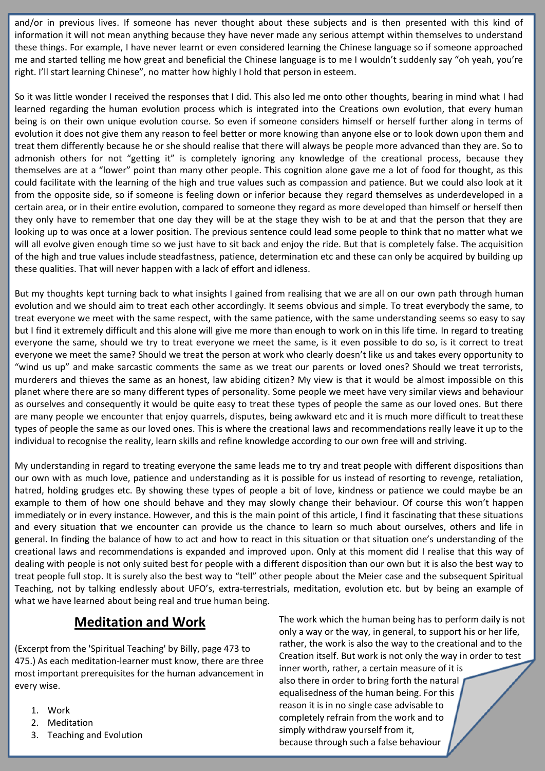and/or in previous lives. If someone has never thought about these subjects and is then presented with this kind of information it will not mean anything because they have never made any serious attempt within themselves to understand these things. For example, I have never learnt or even considered learning the Chinese language so if someone approached me and started telling me how great and beneficial the Chinese language is to me I wouldn't suddenly say "oh yeah, you're right. I'll start learning Chinese", no matter how highly I hold that person in esteem.

So it was little wonder I received the responses that I did. This also led me onto other thoughts, bearing in mind what I had learned regarding the human evolution process which is integrated into the Creations own evolution, that every human being is on their own unique evolution course. So even if someone considers himself or herself further along in terms of evolution it does not give them any reason to feel better or more knowing than anyone else or to look down upon them and treat them differently because he or she should realise that there will always be people more advanced than they are. So to admonish others for not "getting it" is completely ignoring any knowledge of the creational process, because they themselves are at a "lower" point than many other people. This cognition alone gave me a lot of food for thought, as this could facilitate with the learning of the high and true values such as compassion and patience. But we could also look at it from the opposite side, so if someone is feeling down or inferior because they regard themselves as underdeveloped in a certain area, or in their entire evolution, compared to someone they regard as more developed than himself or herself then they only have to remember that one day they will be at the stage they wish to be at and that the person that they are looking up to was once at a lower position. The previous sentence could lead some people to think that no matter what we will all evolve given enough time so we just have to sit back and enjoy the ride. But that is completely false. The acquisition of the high and true values include steadfastness, patience, determination etc and these can only be acquired by building up these qualities. That will never happen with a lack of effort and idleness.

But my thoughts kept turning back to what insights I gained from realising that we are all on our own path through human evolution and we should aim to treat each other accordingly. It seems obvious and simple. To treat everybody the same, to treat everyone we meet with the same respect, with the same patience, with the same understanding seems so easy to say but I find it extremely difficult and this alone will give me more than enough to work on in this life time. In regard to treating everyone the same, should we try to treat everyone we meet the same, is it even possible to do so, is it correct to treat everyone we meet the same? Should we treat the person at work who clearly doesn't like us and takes every opportunity to "wind us up" and make sarcastic comments the same as we treat our parents or loved ones? Should we treat terrorists, murderers and thieves the same as an honest, law abiding citizen? My view is that it would be almost impossible on this planet where there are so many different types of personality. Some people we meet have very similar views and behaviour as ourselves and consequently it would be quite easy to treat these types of people the same as our loved ones. But there are many people we encounter that enjoy quarrels, disputes, being awkward etc and it is much more difficult to treatthese types of people the same as our loved ones. This is where the creational laws and recommendations really leave it up to the individual to recognise the reality, learn skills and refine knowledge according to our own free will and striving.

My understanding in regard to treating everyone the same leads me to try and treat people with different dispositions than our own with as much love, patience and understanding as it is possible for us instead of resorting to revenge, retaliation, hatred, holding grudges etc. By showing these types of people a bit of love, kindness or patience we could maybe be an example to them of how one should behave and they may slowly change their behaviour. Of course this won't happen immediately or in every instance. However, and this is the main point of this article, I find it fascinating that these situations and every situation that we encounter can provide us the chance to learn so much about ourselves, others and life in general. In finding the balance of how to act and how to react in this situation or that situation one's understanding of the creational laws and recommendations is expanded and improved upon. Only at this moment did I realise that this way of dealing with people is not only suited best for people with a different disposition than our own but it is also the best way to treat people full stop. It is surely also the best way to "tell" other people about the Meier case and the subsequent Spiritual Teaching, not by talking endlessly about UFO's, extra-terrestrials, meditation, evolution etc. but by being an example of what we have learned about being real and true human being.

### **Meditation and Work**

(Excerpt from the 'Spiritual Teaching' by Billy, page 473 to 475.) As each meditation-learner must know, there are three most important prerequisites for the human advancement in every wise.

- 1. Work
- 2. Meditation
- 3. Teaching and Evolution

The work which the human being has to perform daily is not only a way or the way, in general, to support his or her life, rather, the work is also the way to the creational and to the Creation itself. But work is not only the way in order to test inner worth, rather, a certain measure of it is also there in order to bring forth the natural equalisedness of the human being. For this reason it is in no single case advisable to completely refrain from the work and to simply withdraw yourself from it, because through such a false behaviour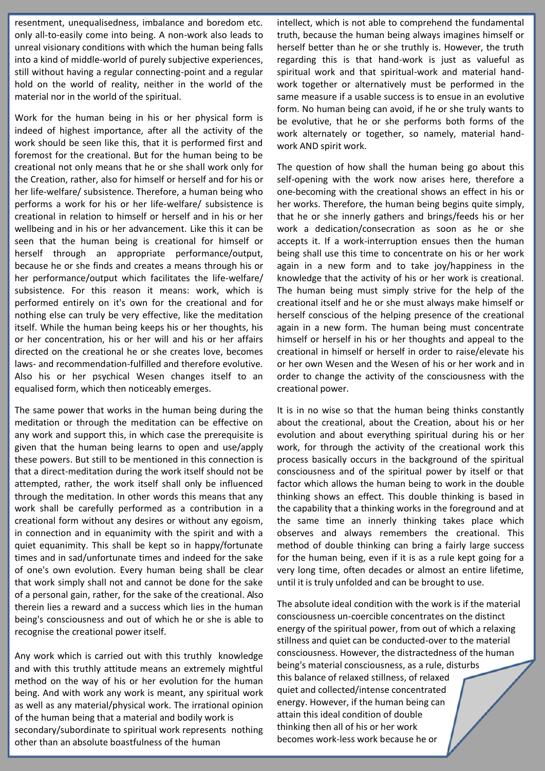resentment, unequalisedness, imbalance and boredom etc. only all-to-easily come into being. A non-work also leads to unreal visionary conditions with which the human being falls into a kind of middle-world of purely subjective experiences, still without having a regular connecting-point and a regular hold on the world of reality, neither in the world of the material nor in the world of the spiritual.

Work for the human being in his or her physical form is indeed of highest importance, after all the activity of the work should be seen like this, that it is performed first and foremost for the creational. But for the human being to be creational not only means that he or she shall work only for the Creation, rather, also for himself or herself and for his or her life-welfare/ subsistence. Therefore, a human being who performs a work for his or her life-welfare/ subsistence is creational in relation to himself or herself and in his or her wellbeing and in his or her advancement. Like this it can be seen that the human being is creational for himself or herself through an appropriate performance/output, because he or she finds and creates a means through his or her performance/output which facilitates the life-welfare/ subsistence. For this reason it means: work, which is performed entirely on it's own for the creational and for nothing else can truly be very effective, like the meditation itself. While the human being keeps his or her thoughts, his or her concentration, his or her will and his or her affairs directed on the creational he or she creates love, becomes laws- and recommendation-fulfilled and therefore evolutive. Also his or her psychical Wesen changes itself to an equalised form, which then noticeably emerges.

The same power that works in the human being during the meditation or through the meditation can be effective on any work and support this, in which case the prerequisite is given that the human being learns to open and use/apply these powers. But still to be mentioned in this connection is that a direct-meditation during the work itself should not be attempted, rather, the work itself shall only be influenced through the meditation. In other words this means that any work shall be carefully performed as a contribution in a creational form without any desires or without any egoism, in connection and in equanimity with the spirit and with a quiet equanimity. This shall be kept so in happy/fortunate times and in sad/unfortunate times and indeed for the sake of one's own evolution. Every human being shall be clear that work simply shall not and cannot be done for the sake of a personal gain, rather, for the sake of the creational. Also therein lies a reward and a success which lies in the human being's consciousness and out of which he or she is able to recognise the creational power itself.

Any work which is carried out with this truthly knowledge and with this truthly attitude means an extremely mightful method on the way of his or her evolution for the human being. And with work any work is meant, any spiritual work as well as any material/physical work. The irrational opinion of the human being that a material and bodily work is secondary/subordinate to spiritual work represents nothing other than an absolute boastfulness of the human

intellect, which is not able to comprehend the fundamental truth, because the human being always imagines himself or herself better than he or she truthly is. However, the truth regarding this is that hand-work is just as valueful as spiritual work and that spiritual-work and material handwork together or alternatively must be performed in the same measure if a usable success is to ensue in an evolutive form. No human being can avoid, if he or she truly wants to be evolutive, that he or she performs both forms of the work alternately or together, so namely, material handwork AND spirit work.

The question of how shall the human being go about this self-opening with the work now arises here, therefore a one-becoming with the creational shows an effect in his or her works. Therefore, the human being begins quite simply, that he or she innerly gathers and brings/feeds his or her work a dedication/consecration as soon as he or she accepts it. If a work-interruption ensues then the human being shall use this time to concentrate on his or her work again in a new form and to take joy/happiness in the knowledge that the activity of his or her work is creational. The human being must simply strive for the help of the creational itself and he or she must always make himself or herself conscious of the helping presence of the creational again in a new form. The human being must concentrate himself or herself in his or her thoughts and appeal to the creational in himself or herself in order to raise/elevate his or her own Wesen and the Wesen of his or her work and in order to change the activity of the consciousness with the creational power.

It is in no wise so that the human being thinks constantly about the creational, about the Creation, about his or her evolution and about everything spiritual during his or her work, for through the activity of the creational work this process basically occurs in the background of the spiritual consciousness and of the spiritual power by itself or that factor which allows the human being to work in the double thinking shows an effect. This double thinking is based in the capability that a thinking works in the foreground and at the same time an innerly thinking takes place which observes and always remembers the creational. This method of double thinking can bring a fairly large success for the human being, even if it is as a rule kept going for a very long time, often decades or almost an entire lifetime, until it is truly unfolded and can be brought to use.

The absolute ideal condition with the work is if the material consciousness un-coercible concentrates on the distinct energy of the spiritual power, from out of which a relaxing stillness and quiet can be conducted-over to the material consciousness. However, the distractedness of the human being's material consciousness, as a rule, disturbs this balance of relaxed stillness, of relaxed quiet and collected/intense concentrated energy. However, if the human being can attain this ideal condition of double thinking then all of his or her work becomes work-less work because he or